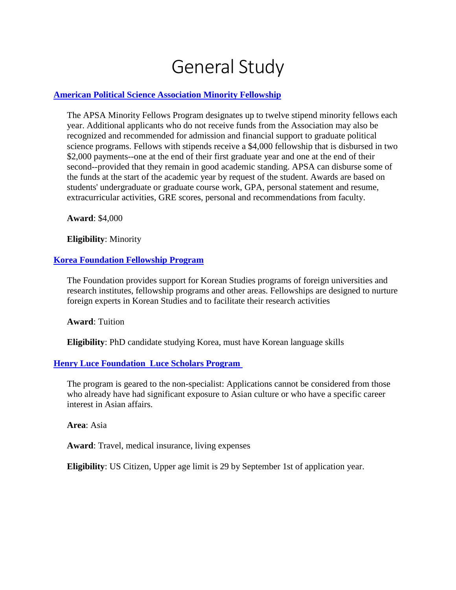# General Study

### **[American Political Science Association Minority Fellowship](http://www.apsanet.org/content_3284.cfm)**

The APSA Minority Fellows Program designates up to twelve stipend minority fellows each year. Additional applicants who do not receive funds from the Association may also be recognized and recommended for admission and financial support to graduate political science programs. Fellows with stipends receive a \$4,000 fellowship that is disbursed in two \$2,000 payments--one at the end of their first graduate year and one at the end of their second--provided that they remain in good academic standing. APSA can disburse some of the funds at the start of the academic year by request of the student. Awards are based on students' undergraduate or graduate course work, GPA, personal statement and resume, extracurricular activities, GRE scores, personal and recommendations from faculty.

**Award**: \$4,000

**Eligibility**: Minority

#### **[Korea Foundation Fellowship Program](https://en.kf.or.kr/?menuno=3793&kflnbindex=)**

The Foundation provides support for Korean Studies programs of foreign universities and research institutes, fellowship programs and other areas. Fellowships are designed to nurture foreign experts in Korean Studies and to facilitate their research activities

**Award**: Tuition

**Eligibility**: PhD candidate studying Korea, must have Korean language skills

#### **Henry Luce [Foundation](http://www.hluce.org/lsprogram.aspx) Luce Scholars Program**

The program is geared to the non-specialist: Applications cannot be considered from those who already have had significant exposure to Asian culture or who have a specific career interest in Asian affairs.

**Area**: Asia

**Award**: Travel, medical insurance, living expenses

**Eligibility**: US Citizen, Upper age limit is 29 by September 1st of application year.